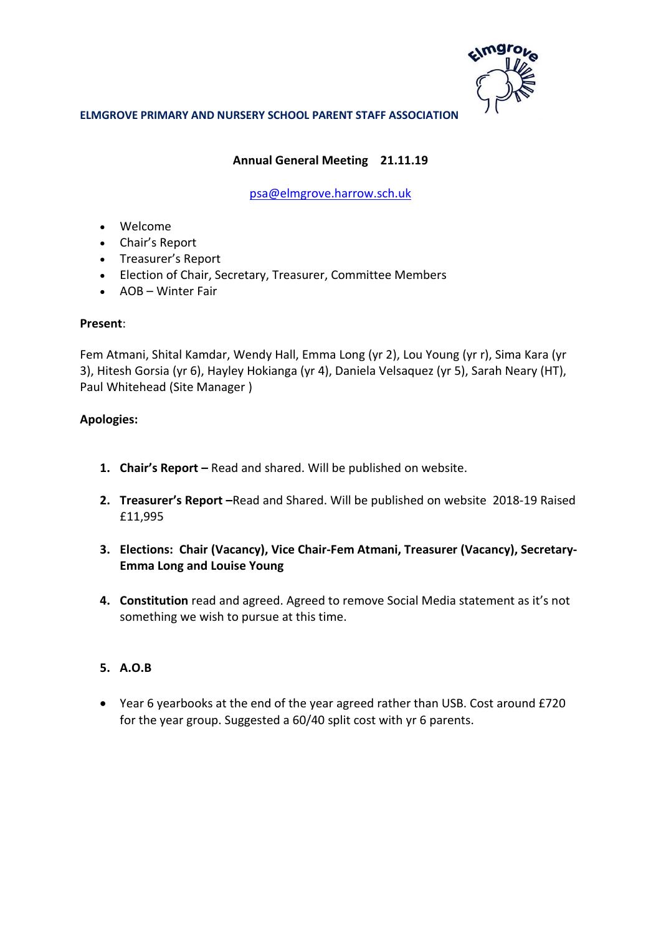

# **Annual General Meeting 21.11.19**

# [psa@elmgrove.harrow.sch.uk](mailto:psa@elmgrove.harrow.sch.uk)

- Welcome
- Chair's Report
- Treasurer's Report
- Election of Chair, Secretary, Treasurer, Committee Members
- AOB Winter Fair

## **Present**:

Fem Atmani, Shital Kamdar, Wendy Hall, Emma Long (yr 2), Lou Young (yr r), Sima Kara (yr 3), Hitesh Gorsia (yr 6), Hayley Hokianga (yr 4), Daniela Velsaquez (yr 5), Sarah Neary (HT), Paul Whitehead (Site Manager )

## **Apologies:**

- **1. Chair's Report –** Read and shared. Will be published on website.
- **2. Treasurer's Report –**Read and Shared. Will be published on website 2018-19 Raised £11,995
- **3. Elections: Chair (Vacancy), Vice Chair-Fem Atmani, Treasurer (Vacancy), Secretary-Emma Long and Louise Young**
- **4. Constitution** read and agreed. Agreed to remove Social Media statement as it's not something we wish to pursue at this time.

# **5. A.O.B**

 Year 6 yearbooks at the end of the year agreed rather than USB. Cost around £720 for the year group. Suggested a 60/40 split cost with yr 6 parents.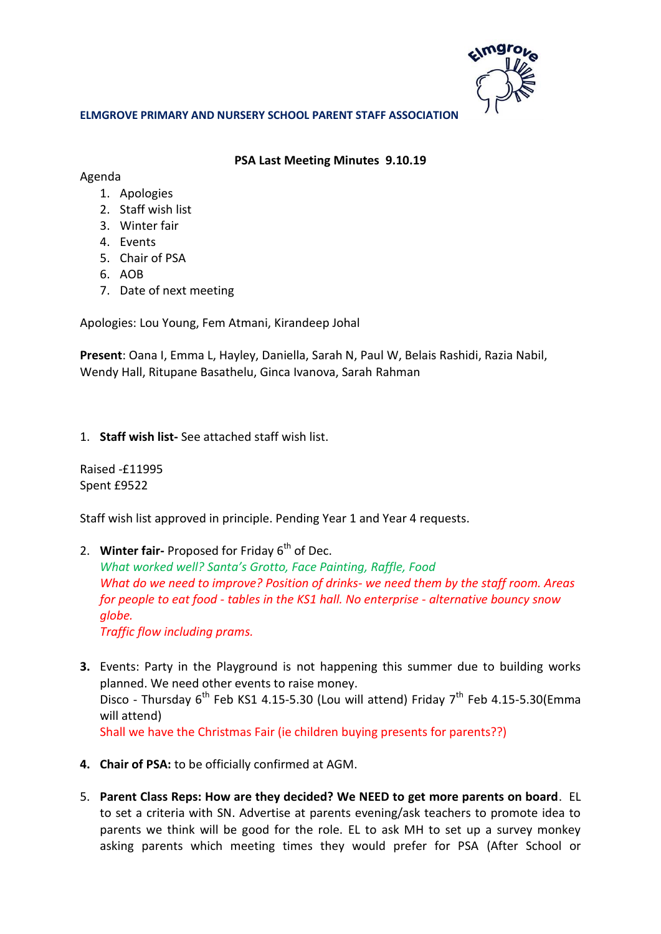

## **PSA Last Meeting Minutes 9.10.19**

Agenda

- 1. Apologies
- 2. Staff wish list
- 3. Winter fair
- 4. Events
- 5. Chair of PSA
- 6. AOB
- 7. Date of next meeting

Apologies: Lou Young, Fem Atmani, Kirandeep Johal

**Present**: Oana I, Emma L, Hayley, Daniella, Sarah N, Paul W, Belais Rashidi, Razia Nabil, Wendy Hall, Ritupane Basathelu, Ginca Ivanova, Sarah Rahman

1. **Staff wish list-** See attached staff wish list.

Raised -£11995 Spent £9522

Staff wish list approved in principle. Pending Year 1 and Year 4 requests.

2. **Winter fair-** Proposed for Friday 6<sup>th</sup> of Dec.

*What worked well? Santa's Grotto, Face Painting, Raffle, Food What do we need to improve? Position of drinks- we need them by the staff room. Areas for people to eat food - tables in the KS1 hall. No enterprise - alternative bouncy snow globe.* 

*Traffic flow including prams.* 

- **3.** Events: Party in the Playground is not happening this summer due to building works planned. We need other events to raise money. Disco - Thursday  $6^{th}$  Feb KS1 4.15-5.30 (Lou will attend) Friday  $7^{th}$  Feb 4.15-5.30(Emma will attend) Shall we have the Christmas Fair (ie children buying presents for parents??)
- **4. Chair of PSA:** to be officially confirmed at AGM.
- 5. **Parent Class Reps: How are they decided? We NEED to get more parents on board**. EL to set a criteria with SN. Advertise at parents evening/ask teachers to promote idea to parents we think will be good for the role. EL to ask MH to set up a survey monkey asking parents which meeting times they would prefer for PSA (After School or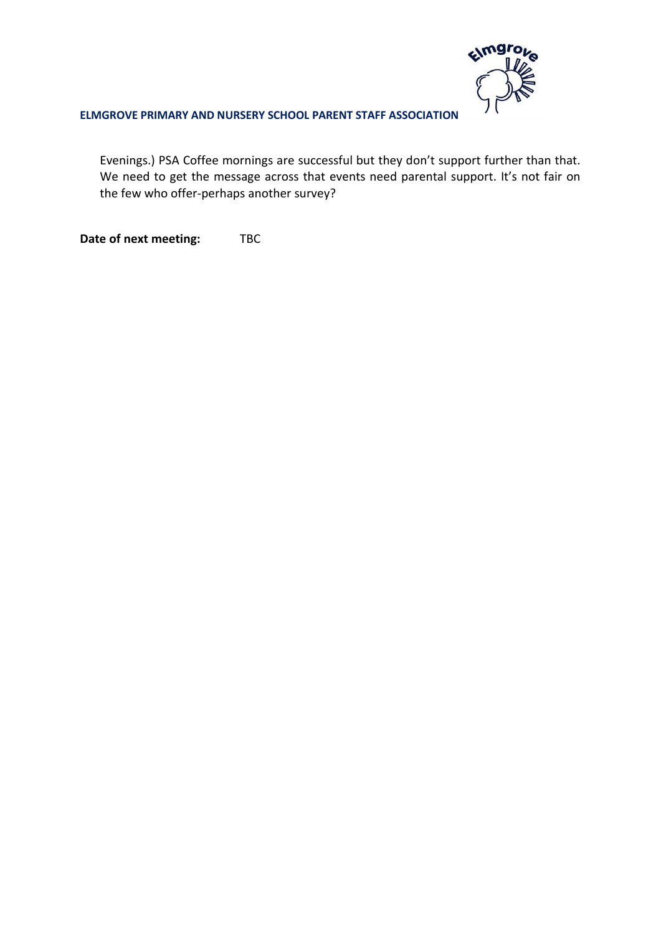

Evenings.) PSA Coffee mornings are successful but they don't support further than that. We need to get the message across that events need parental support. It's not fair on the few who offer-perhaps another survey?

**Date of next meeting:** TBC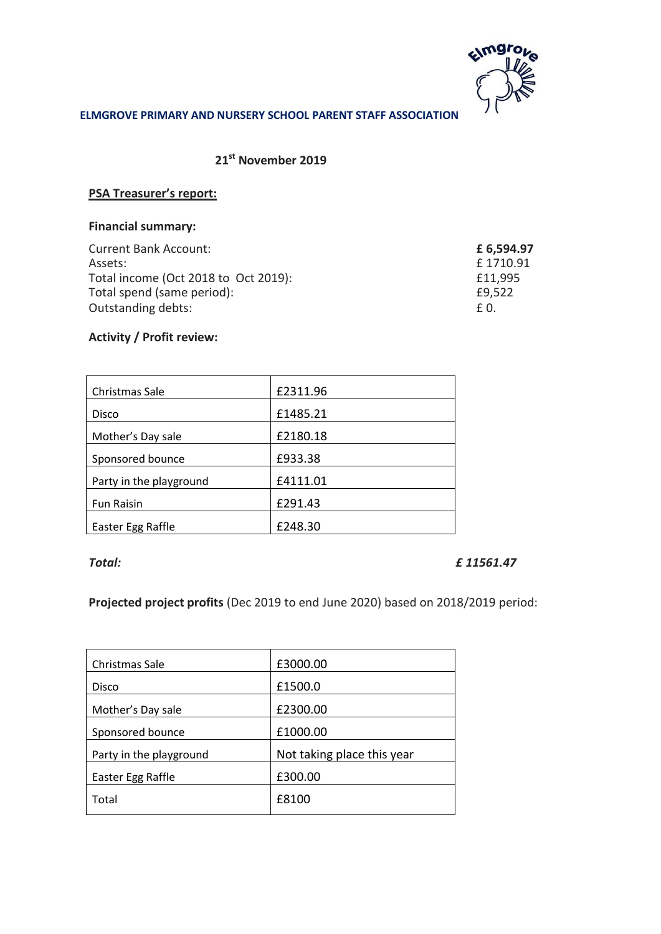

# **21st November 2019**

## **PSA Treasurer's report:**

# **Financial summary:**

| <b>Current Bank Account:</b>         | £ 6,594.97 |
|--------------------------------------|------------|
| Assets:                              | £1710.91   |
| Total income (Oct 2018 to Oct 2019): | £11,995    |
| Total spend (same period):           | £9,522     |
| Outstanding debts:                   | £ 0.       |

# **Activity / Profit review:**

| Christmas Sale          | £2311.96 |
|-------------------------|----------|
| Disco                   | £1485.21 |
| Mother's Day sale       | £2180.18 |
| Sponsored bounce        | £933.38  |
| Party in the playground | £4111.01 |
| <b>Fun Raisin</b>       | £291.43  |
| Easter Egg Raffle       | £248.30  |

## *Total: £ 11561.47*

**Projected project profits** (Dec 2019 to end June 2020) based on 2018/2019 period:

| Christmas Sale          | £3000.00                   |  |
|-------------------------|----------------------------|--|
| Disco                   | £1500.0                    |  |
| Mother's Day sale       | £2300.00                   |  |
| Sponsored bounce        | £1000.00                   |  |
| Party in the playground | Not taking place this year |  |
| Easter Egg Raffle       | £300.00                    |  |
| Total                   | £8100                      |  |